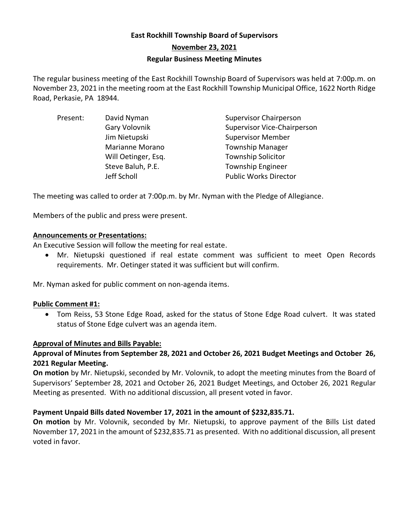# **East Rockhill Township Board of Supervisors November 23, 2021 Regular Business Meeting Minutes**

The regular business meeting of the East Rockhill Township Board of Supervisors was held at 7:00p.m. on November 23, 2021 in the meeting room at the East Rockhill Township Municipal Office, 1622 North Ridge Road, Perkasie, PA 18944.

| Present: | David Nyman         | <b>Supervisor Chairperson</b>      |
|----------|---------------------|------------------------------------|
|          | Gary Volovnik       | <b>Supervisor Vice-Chairperson</b> |
|          | Jim Nietupski       | <b>Supervisor Member</b>           |
|          | Marianne Morano     | <b>Township Manager</b>            |
|          | Will Oetinger, Esq. | <b>Township Solicitor</b>          |
|          | Steve Baluh, P.E.   | <b>Township Engineer</b>           |
|          | Jeff Scholl         | <b>Public Works Director</b>       |

The meeting was called to order at 7:00p.m. by Mr. Nyman with the Pledge of Allegiance.

Members of the public and press were present.

### **Announcements or Presentations:**

An Executive Session will follow the meeting for real estate.

• Mr. Nietupski questioned if real estate comment was sufficient to meet Open Records requirements. Mr. Oetinger stated it was sufficient but will confirm.

Mr. Nyman asked for public comment on non-agenda items.

### **Public Comment #1:**

• Tom Reiss, 53 Stone Edge Road, asked for the status of Stone Edge Road culvert. It was stated status of Stone Edge culvert was an agenda item.

# **Approval of Minutes and Bills Payable:**

# **Approval of Minutes from September 28, 2021 and October 26, 2021 Budget Meetings and October 26, 2021 Regular Meeting.**

**On motion** by Mr. Nietupski, seconded by Mr. Volovnik, to adopt the meeting minutes from the Board of Supervisors' September 28, 2021 and October 26, 2021 Budget Meetings, and October 26, 2021 Regular Meeting as presented. With no additional discussion, all present voted in favor.

# **Payment Unpaid Bills dated November 17, 2021 in the amount of \$232,835.71.**

**On motion** by Mr. Volovnik, seconded by Mr. Nietupski, to approve payment of the Bills List dated November 17, 2021 in the amount of \$232,835.71 as presented. With no additional discussion, all present voted in favor.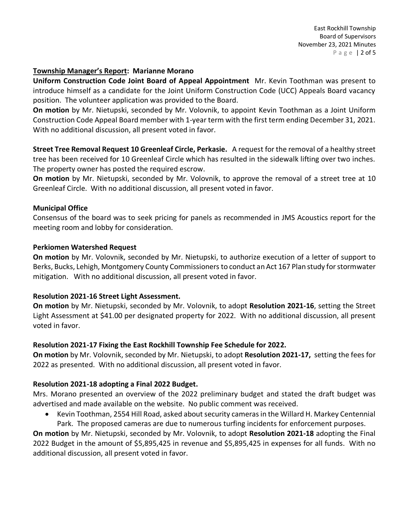### **Township Manager's Report: Marianne Morano**

**Uniform Construction Code Joint Board of Appeal Appointment** Mr. Kevin Toothman was present to introduce himself as a candidate for the Joint Uniform Construction Code (UCC) Appeals Board vacancy position. The volunteer application was provided to the Board.

**On motion** by Mr. Nietupski, seconded by Mr. Volovnik, to appoint Kevin Toothman as a Joint Uniform Construction Code Appeal Board member with 1-year term with the first term ending December 31, 2021. With no additional discussion, all present voted in favor.

**Street Tree Removal Request 10 Greenleaf Circle, Perkasie.** A request for the removal of a healthy street tree has been received for 10 Greenleaf Circle which has resulted in the sidewalk lifting over two inches. The property owner has posted the required escrow.

**On motion** by Mr. Nietupski, seconded by Mr. Volovnik, to approve the removal of a street tree at 10 Greenleaf Circle. With no additional discussion, all present voted in favor.

# **Municipal Office**

Consensus of the board was to seek pricing for panels as recommended in JMS Acoustics report for the meeting room and lobby for consideration.

### **Perkiomen Watershed Request**

**On motion** by Mr. Volovnik, seconded by Mr. Nietupski, to authorize execution of a letter of support to Berks, Bucks, Lehigh, Montgomery County Commissioners to conduct an Act 167 Plan study for stormwater mitigation. With no additional discussion, all present voted in favor.

# **Resolution 2021-16 Street Light Assessment.**

**On motion** by Mr. Nietupski, seconded by Mr. Volovnik, to adopt **Resolution 2021-16**, setting the Street Light Assessment at \$41.00 per designated property for 2022. With no additional discussion, all present voted in favor.

# **Resolution 2021-17 Fixing the East Rockhill Township Fee Schedule for 2022.**

**On motion** by Mr. Volovnik, seconded by Mr. Nietupski, to adopt **Resolution 2021-17,** setting the fees for 2022 as presented. With no additional discussion, all present voted in favor.

# **Resolution 2021-18 adopting a Final 2022 Budget.**

Mrs. Morano presented an overview of the 2022 preliminary budget and stated the draft budget was advertised and made available on the website. No public comment was received.

• Kevin Toothman, 2554 Hill Road, asked about security cameras in the Willard H. Markey Centennial Park. The proposed cameras are due to numerous turfing incidents for enforcement purposes.

**On motion** by Mr. Nietupski, seconded by Mr. Volovnik, to adopt **Resolution 2021-18** adopting the Final 2022 Budget in the amount of \$5,895,425 in revenue and \$5,895,425 in expenses for all funds. With no additional discussion, all present voted in favor.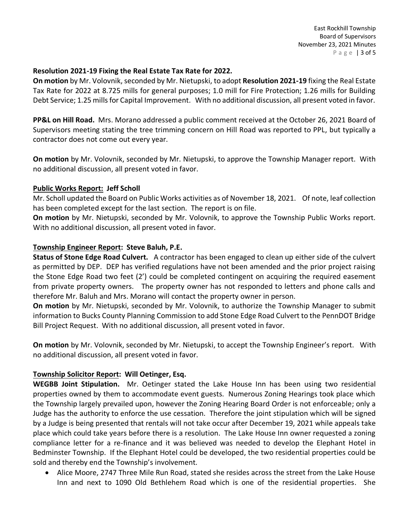### **Resolution 2021-19 Fixing the Real Estate Tax Rate for 2022.**

**On motion** by Mr. Volovnik, seconded by Mr. Nietupski, to adopt **Resolution 2021-19** fixing the Real Estate Tax Rate for 2022 at 8.725 mills for general purposes; 1.0 mill for Fire Protection; 1.26 mills for Building Debt Service; 1.25 mills for Capital Improvement. With no additional discussion, all present voted in favor.

**PP&L on Hill Road.** Mrs. Morano addressed a public comment received at the October 26, 2021 Board of Supervisors meeting stating the tree trimming concern on Hill Road was reported to PPL, but typically a contractor does not come out every year.

**On motion** by Mr. Volovnik, seconded by Mr. Nietupski, to approve the Township Manager report. With no additional discussion, all present voted in favor.

### **Public Works Report: Jeff Scholl**

Mr. Scholl updated the Board on Public Works activities as of November 18, 2021. Of note, leaf collection has been completed except for the last section. The report is on file.

**On motion** by Mr. Nietupski, seconded by Mr. Volovnik, to approve the Township Public Works report. With no additional discussion, all present voted in favor.

### **Township Engineer Report: Steve Baluh, P.E.**

**Status of Stone Edge Road Culvert.** A contractor has been engaged to clean up either side of the culvert as permitted by DEP. DEP has verified regulations have not been amended and the prior project raising the Stone Edge Road two feet (2') could be completed contingent on acquiring the required easement from private property owners. The property owner has not responded to letters and phone calls and therefore Mr. Baluh and Mrs. Morano will contact the property owner in person.

**On motion** by Mr. Nietupski, seconded by Mr. Volovnik, to authorize the Township Manager to submit information to Bucks County Planning Commission to add Stone Edge Road Culvert to the PennDOT Bridge Bill Project Request. With no additional discussion, all present voted in favor.

**On motion** by Mr. Volovnik, seconded by Mr. Nietupski, to accept the Township Engineer's report. With no additional discussion, all present voted in favor.

# **Township Solicitor Report: Will Oetinger, Esq.**

**WEGBB Joint Stipulation.** Mr. Oetinger stated the Lake House Inn has been using two residential properties owned by them to accommodate event guests. Numerous Zoning Hearings took place which the Township largely prevailed upon, however the Zoning Hearing Board Order is not enforceable; only a Judge has the authority to enforce the use cessation. Therefore the joint stipulation which will be signed by a Judge is being presented that rentals will not take occur after December 19, 2021 while appeals take place which could take years before there is a resolution. The Lake House Inn owner requested a zoning compliance letter for a re-finance and it was believed was needed to develop the Elephant Hotel in Bedminster Township. If the Elephant Hotel could be developed, the two residential properties could be sold and thereby end the Township's involvement.

• Alice Moore, 2747 Three Mile Run Road, stated she resides across the street from the Lake House Inn and next to 1090 Old Bethlehem Road which is one of the residential properties. She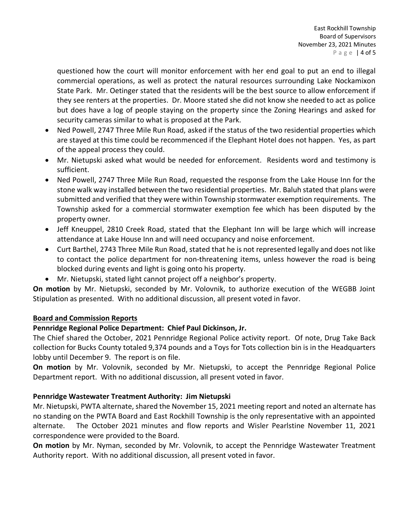questioned how the court will monitor enforcement with her end goal to put an end to illegal commercial operations, as well as protect the natural resources surrounding Lake Nockamixon State Park. Mr. Oetinger stated that the residents will be the best source to allow enforcement if they see renters at the properties. Dr. Moore stated she did not know she needed to act as police but does have a log of people staying on the property since the Zoning Hearings and asked for security cameras similar to what is proposed at the Park.

- Ned Powell, 2747 Three Mile Run Road, asked if the status of the two residential properties which are stayed at this time could be recommenced if the Elephant Hotel does not happen. Yes, as part of the appeal process they could.
- Mr. Nietupski asked what would be needed for enforcement. Residents word and testimony is sufficient.
- Ned Powell, 2747 Three Mile Run Road, requested the response from the Lake House Inn for the stone walk way installed between the two residential properties. Mr. Baluh stated that plans were submitted and verified that they were within Township stormwater exemption requirements. The Township asked for a commercial stormwater exemption fee which has been disputed by the property owner.
- Jeff Kneuppel, 2810 Creek Road, stated that the Elephant Inn will be large which will increase attendance at Lake House Inn and will need occupancy and noise enforcement.
- Curt Barthel, 2743 Three Mile Run Road, stated that he is not represented legally and does not like to contact the police department for non-threatening items, unless however the road is being blocked during events and light is going onto his property.
- Mr. Nietupski, stated light cannot project off a neighbor's property.

**On motion** by Mr. Nietupski, seconded by Mr. Volovnik, to authorize execution of the WEGBB Joint Stipulation as presented. With no additional discussion, all present voted in favor.

# **Board and Commission Reports**

# **Pennridge Regional Police Department: Chief Paul Dickinson, Jr.**

The Chief shared the October, 2021 Pennridge Regional Police activity report. Of note, Drug Take Back collection for Bucks County totaled 9,374 pounds and a Toys for Tots collection bin is in the Headquarters lobby until December 9. The report is on file.

**On motion** by Mr. Volovnik, seconded by Mr. Nietupski, to accept the Pennridge Regional Police Department report. With no additional discussion, all present voted in favor.

# **Pennridge Wastewater Treatment Authority: Jim Nietupski**

Mr. Nietupski, PWTA alternate, shared the November 15, 2021 meeting report and noted an alternate has no standing on the PWTA Board and East Rockhill Township is the only representative with an appointed alternate.The October 2021 minutes and flow reports and Wisler Pearlstine November 11, 2021 correspondence were provided to the Board.

**On motion** by Mr. Nyman, seconded by Mr. Volovnik, to accept the Pennridge Wastewater Treatment Authority report. With no additional discussion, all present voted in favor.